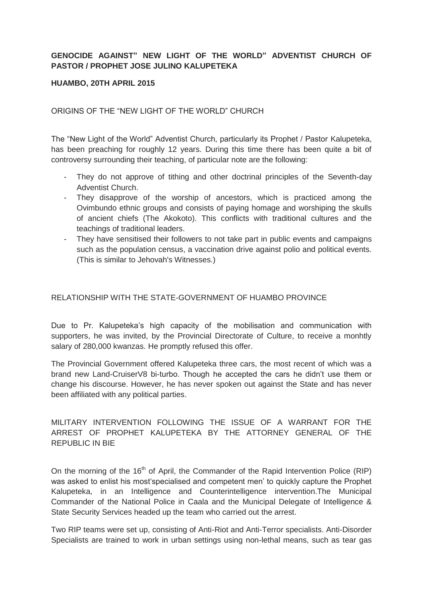# **GENOCIDE AGAINST" NEW LIGHT OF THE WORLD" ADVENTIST CHURCH OF PASTOR / PROPHET JOSE JULINO KALUPETEKA**

### **HUAMBO, 20TH APRIL 2015**

ORIGINS OF THE "NEW LIGHT OF THE WORLD" CHURCH

The "New Light of the World" Adventist Church, particularly its Prophet / Pastor Kalupeteka, has been preaching for roughly 12 years. During this time there has been quite a bit of controversy surrounding their teaching, of particular note are the following:

- They do not approve of tithing and other doctrinal principles of the Seventh-day Adventist Church.
- They disapprove of the worship of ancestors, which is practiced among the Ovimbundo ethnic groups and consists of paying homage and worshiping the skulls of ancient chiefs (The Akokoto). This conflicts with traditional cultures and the teachings of traditional leaders.
- They have sensitised their followers to not take part in public events and campaigns such as the population census, a vaccination drive against polio and political events. (This is similar to Jehovah's Witnesses.)

### RELATIONSHIP WITH THE STATE-GOVERNMENT OF HUAMBO PROVINCE

Due to Pr. Kalupeteka's high capacity of the mobilisation and communication with supporters, he was invited, by the Provincial Directorate of Culture, to receive a monhtly salary of 280,000 kwanzas. He promptly refused this offer.

The Provincial Government offered Kalupeteka three cars, the most recent of which was a brand new Land-CruiserV8 bi-turbo. Though he accepted the cars he didn't use them or change his discourse. However, he has never spoken out against the State and has never been affiliated with any political parties.

MILITARY INTERVENTION FOLLOWING THE ISSUE OF A WARRANT FOR THE ARREST OF PROPHET KALUPETEKA BY THE ATTORNEY GENERAL OF THE REPUBLIC IN BIE

On the morning of the 16<sup>th</sup> of April, the Commander of the Rapid Intervention Police (RIP) was asked to enlist his most'specialised and competent men' to quickly capture the Prophet Kalupeteka, in an Intelligence and Counterintelligence intervention.The Municipal Commander of the National Police in Caala and the Municipal Delegate of Intelligence & State Security Services headed up the team who carried out the arrest.

Two RIP teams were set up, consisting of Anti-Riot and Anti-Terror specialists. Anti-Disorder Specialists are trained to work in urban settings using non-lethal means, such as tear gas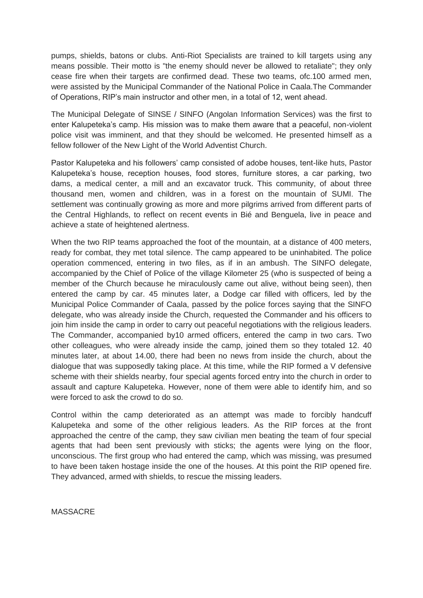pumps, shields, batons or clubs. Anti-Riot Specialists are trained to kill targets using any means possible. Their motto is "the enemy should never be allowed to retaliate"; they only cease fire when their targets are confirmed dead. These two teams, ofc.100 armed men, were assisted by the Municipal Commander of the National Police in Caala.The Commander of Operations, RIP's main instructor and other men, in a total of 12, went ahead.

The Municipal Delegate of SINSE / SINFO (Angolan Information Services) was the first to enter Kalupeteka's camp. His mission was to make them aware that a peaceful, non-violent police visit was imminent, and that they should be welcomed. He presented himself as a fellow follower of the New Light of the World Adventist Church.

Pastor Kalupeteka and his followers' camp consisted of adobe houses, tent-like huts, Pastor Kalupeteka's house, reception houses, food stores, furniture stores, a car parking, two dams, a medical center, a mill and an excavator truck. This community, of about three thousand men, women and children, was in a forest on the mountain of SUMI. The settlement was continually growing as more and more pilgrims arrived from different parts of the Central Highlands, to reflect on recent events in Bié and Benguela, live in peace and achieve a state of heightened alertness.

When the two RIP teams approached the foot of the mountain, at a distance of 400 meters, ready for combat, they met total silence. The camp appeared to be uninhabited. The police operation commenced, entering in two files, as if in an ambush. The SINFO delegate, accompanied by the Chief of Police of the village Kilometer 25 (who is suspected of being a member of the Church because he miraculously came out alive, without being seen), then entered the camp by car. 45 minutes later, a Dodge car filled with officers, led by the Municipal Police Commander of Caala, passed by the police forces saying that the SINFO delegate, who was already inside the Church, requested the Commander and his officers to join him inside the camp in order to carry out peaceful negotiations with the religious leaders. The Commander, accompanied by10 armed officers, entered the camp in two cars. Two other colleagues, who were already inside the camp, joined them so they totaled 12. 40 minutes later, at about 14.00, there had been no news from inside the church, about the dialogue that was supposedly taking place. At this time, while the RIP formed a V defensive scheme with their shields nearby, four special agents forced entry into the church in order to assault and capture Kalupeteka. However, none of them were able to identify him, and so were forced to ask the crowd to do so.

Control within the camp deteriorated as an attempt was made to forcibly handcuff Kalupeteka and some of the other religious leaders. As the RIP forces at the front approached the centre of the camp, they saw civilian men beating the team of four special agents that had been sent previously with sticks; the agents were lying on the floor, unconscious. The first group who had entered the camp, which was missing, was presumed to have been taken hostage inside the one of the houses. At this point the RIP opened fire. They advanced, armed with shields, to rescue the missing leaders.

MASSACRE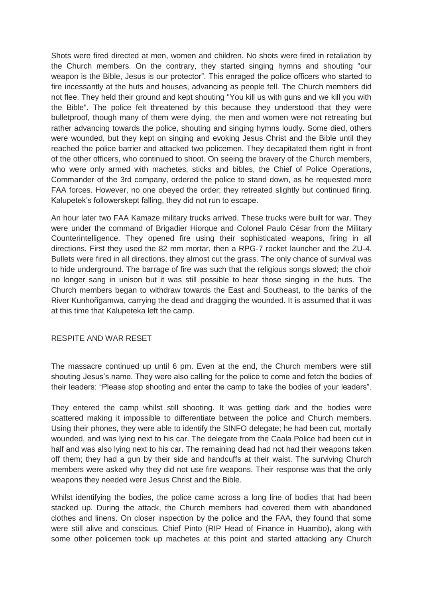Shots were fired directed at men, women and children. No shots were fired in retaliation by the Church members. On the contrary, they started singing hymns and shouting "our weapon is the Bible, Jesus is our protector". This enraged the police officers who started to fire incessantly at the huts and houses, advancing as people fell. The Church members did not flee. They held their ground and kept shouting "You kill us with guns and we kill you with the Bible". The police felt threatened by this because they understood that they were bulletproof, though many of them were dying, the men and women were not retreating but rather advancing towards the police, shouting and singing hymns loudly. Some died, others were wounded, but they kept on singing and evoking Jesus Christ and the Bible until they reached the police barrier and attacked two policemen. They decapitated them right in front of the other officers, who continued to shoot. On seeing the bravery of the Church members, who were only armed with machetes, sticks and bibles, the Chief of Police Operations, Commander of the 3rd company, ordered the police to stand down, as he requested more FAA forces. However, no one obeyed the order; they retreated slightly but continued firing. Kalupetek's followerskept falling, they did not run to escape.

An hour later two FAA Kamaze military trucks arrived. These trucks were built for war. They were under the command of Brigadier Hiorque and Colonel Paulo César from the Military Counterintelligence. They opened fire using their sophisticated weapons, firing in all directions. First they used the 82 mm mortar, then a RPG-7 rocket launcher and the ZU-4. Bullets were fired in all directions, they almost cut the grass. The only chance of survival was to hide underground. The barrage of fire was such that the religious songs slowed; the choir no longer sang in unison but it was still possible to hear those singing in the huts. The Church members began to withdraw towards the East and Southeast, to the banks of the River Kunhoñgamwa, carrying the dead and dragging the wounded. It is assumed that it was at this time that Kalupeteka left the camp.

### RESPITE AND WAR RESET

The massacre continued up until 6 pm. Even at the end, the Church members were still shouting Jesus's name. They were also calling for the police to come and fetch the bodies of their leaders: "Please stop shooting and enter the camp to take the bodies of your leaders".

They entered the camp whilst still shooting. It was getting dark and the bodies were scattered making it impossible to differentiate between the police and Church members. Using their phones, they were able to identify the SINFO delegate; he had been cut, mortally wounded, and was lying next to his car. The delegate from the Caala Police had been cut in half and was also lying next to his car. The remaining dead had not had their weapons taken off them; they had a gun by their side and handcuffs at their waist. The surviving Church members were asked why they did not use fire weapons. Their response was that the only weapons they needed were Jesus Christ and the Bible.

Whilst identifying the bodies, the police came across a long line of bodies that had been stacked up. During the attack, the Church members had covered them with abandoned clothes and linens. On closer inspection by the police and the FAA, they found that some were still alive and conscious. Chief Pinto (RIP Head of Finance in Huambo), along with some other policemen took up machetes at this point and started attacking any Church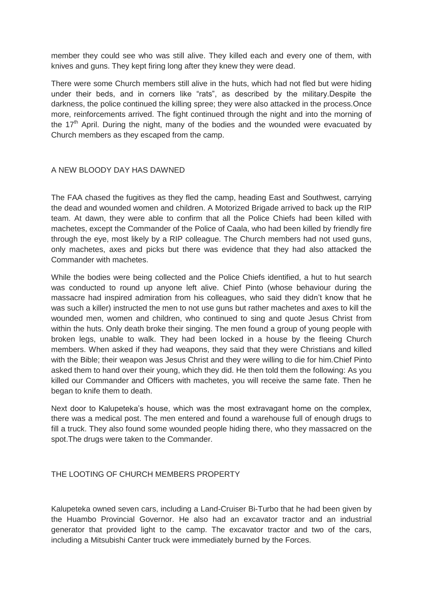member they could see who was still alive. They killed each and every one of them, with knives and guns. They kept firing long after they knew they were dead.

There were some Church members still alive in the huts, which had not fled but were hiding under their beds, and in corners like "rats", as described by the military.Despite the darkness, the police continued the killing spree; they were also attacked in the process.Once more, reinforcements arrived. The fight continued through the night and into the morning of the  $17<sup>th</sup>$  April. During the night, many of the bodies and the wounded were evacuated by Church members as they escaped from the camp.

### A NEW BLOODY DAY HAS DAWNED

The FAA chased the fugitives as they fled the camp, heading East and Southwest, carrying the dead and wounded women and children. A Motorized Brigade arrived to back up the RIP team. At dawn, they were able to confirm that all the Police Chiefs had been killed with machetes, except the Commander of the Police of Caala, who had been killed by friendly fire through the eye, most likely by a RIP colleague. The Church members had not used guns, only machetes, axes and picks but there was evidence that they had also attacked the Commander with machetes.

While the bodies were being collected and the Police Chiefs identified, a hut to hut search was conducted to round up anyone left alive. Chief Pinto (whose behaviour during the massacre had inspired admiration from his colleagues, who said they didn't know that he was such a killer) instructed the men to not use guns but rather machetes and axes to kill the wounded men, women and children, who continued to sing and quote Jesus Christ from within the huts. Only death broke their singing. The men found a group of young people with broken legs, unable to walk. They had been locked in a house by the fleeing Church members. When asked if they had weapons, they said that they were Christians and killed with the Bible; their weapon was Jesus Christ and they were willing to die for him.Chief Pinto asked them to hand over their young, which they did. He then told them the following: As you killed our Commander and Officers with machetes, you will receive the same fate. Then he began to knife them to death.

Next door to Kalupeteka's house, which was the most extravagant home on the complex, there was a medical post. The men entered and found a warehouse full of enough drugs to fill a truck. They also found some wounded people hiding there, who they massacred on the spot.The drugs were taken to the Commander.

### THE LOOTING OF CHURCH MEMBERS PROPERTY

Kalupeteka owned seven cars, including a Land-Cruiser Bi-Turbo that he had been given by the Huambo Provincial Governor. He also had an excavator tractor and an industrial generator that provided light to the camp. The excavator tractor and two of the cars, including a Mitsubishi Canter truck were immediately burned by the Forces.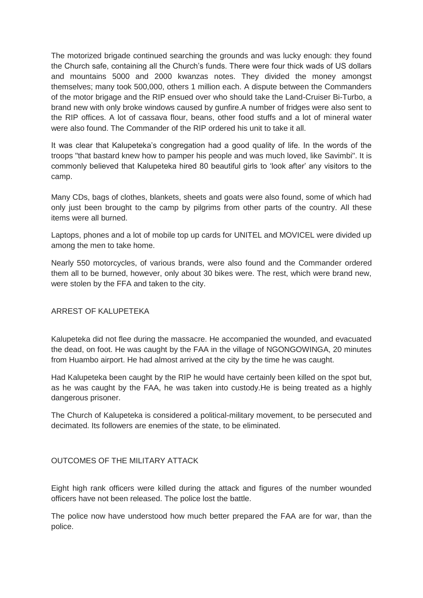The motorized brigade continued searching the grounds and was lucky enough: they found the Church safe, containing all the Church's funds. There were four thick wads of US dollars and mountains 5000 and 2000 kwanzas notes. They divided the money amongst themselves; many took 500,000, others 1 million each. A dispute between the Commanders of the motor brigage and the RIP ensued over who should take the Land-Cruiser Bi-Turbo, a brand new with only broke windows caused by gunfire.A number of fridges were also sent to the RIP offices. A lot of cassava flour, beans, other food stuffs and a lot of mineral water were also found. The Commander of the RIP ordered his unit to take it all.

It was clear that Kalupeteka's congregation had a good quality of life. In the words of the troops "that bastard knew how to pamper his people and was much loved, like Savimbi". It is commonly believed that Kalupeteka hired 80 beautiful girls to 'look after' any visitors to the camp.

Many CDs, bags of clothes, blankets, sheets and goats were also found, some of which had only just been brought to the camp by pilgrims from other parts of the country. All these items were all burned.

Laptops, phones and a lot of mobile top up cards for UNITEL and MOVICEL were divided up among the men to take home.

Nearly 550 motorcycles, of various brands, were also found and the Commander ordered them all to be burned, however, only about 30 bikes were. The rest, which were brand new, were stolen by the FFA and taken to the city.

### ARREST OF KALUPETEKA

Kalupeteka did not flee during the massacre. He accompanied the wounded, and evacuated the dead, on foot. He was caught by the FAA in the village of NGONGOWINGA, 20 minutes from Huambo airport. He had almost arrived at the city by the time he was caught.

Had Kalupeteka been caught by the RIP he would have certainly been killed on the spot but, as he was caught by the FAA, he was taken into custody.He is being treated as a highly dangerous prisoner.

The Church of Kalupeteka is considered a political-military movement, to be persecuted and decimated. Its followers are enemies of the state, to be eliminated.

## OUTCOMES OF THE MILITARY ATTACK

Eight high rank officers were killed during the attack and figures of the number wounded officers have not been released. The police lost the battle.

The police now have understood how much better prepared the FAA are for war, than the police.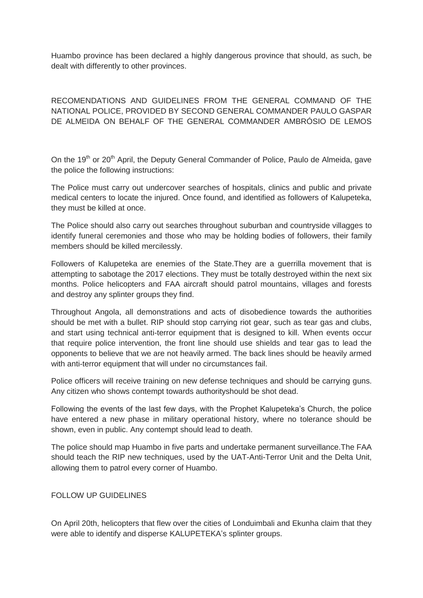Huambo province has been declared a highly dangerous province that should, as such, be dealt with differently to other provinces.

RECOMENDATIONS AND GUIDELINES FROM THE GENERAL COMMAND OF THE NATIONAL POLICE, PROVIDED BY SECOND GENERAL COMMANDER PAULO GASPAR DE ALMEIDA ON BEHALF OF THE GENERAL COMMANDER AMBRÓSIO DE LEMOS

On the 19<sup>th</sup> or 20<sup>th</sup> April, the Deputy General Commander of Police, Paulo de Almeida, gave the police the following instructions:

The Police must carry out undercover searches of hospitals, clinics and public and private medical centers to locate the injured. Once found, and identified as followers of Kalupeteka, they must be killed at once.

The Police should also carry out searches throughout suburban and countryside villagges to identify funeral ceremonies and those who may be holding bodies of followers, their family members should be killed mercilessly.

Followers of Kalupeteka are enemies of the State.They are a guerrilla movement that is attempting to sabotage the 2017 elections. They must be totally destroyed within the next six months. Police helicopters and FAA aircraft should patrol mountains, villages and forests and destroy any splinter groups they find.

Throughout Angola, all demonstrations and acts of disobedience towards the authorities should be met with a bullet. RIP should stop carrying riot gear, such as tear gas and clubs, and start using technical anti-terror equipment that is designed to kill. When events occur that require police intervention, the front line should use shields and tear gas to lead the opponents to believe that we are not heavily armed. The back lines should be heavily armed with anti-terror equipment that will under no circumstances fail.

Police officers will receive training on new defense techniques and should be carrying guns. Any citizen who shows contempt towards authorityshould be shot dead.

Following the events of the last few days, with the Prophet Kalupeteka's Church, the police have entered a new phase in military operational history, where no tolerance should be shown, even in public. Any contempt should lead to death.

The police should map Huambo in five parts and undertake permanent surveillance.The FAA should teach the RIP new techniques, used by the UAT-Anti-Terror Unit and the Delta Unit, allowing them to patrol every corner of Huambo.

### FOLLOW UP GUIDELINES

On April 20th, helicopters that flew over the cities of Londuimbali and Ekunha claim that they were able to identify and disperse KALUPETEKA's splinter groups.